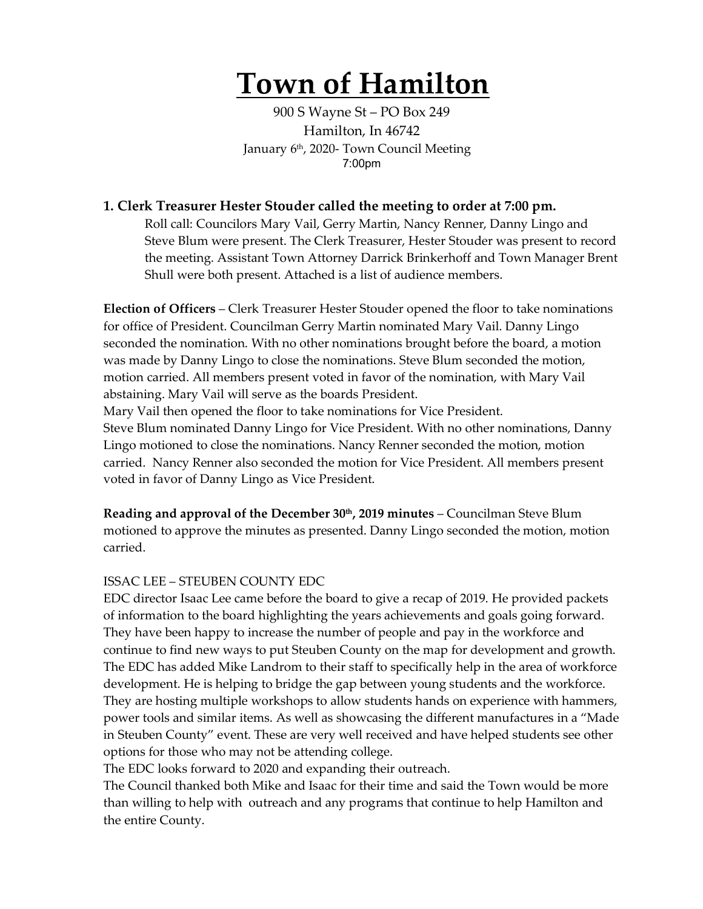# **Town of Hamilton**

900 S Wayne St – PO Box 249 Hamilton, In 46742 January 6th, 2020- Town Council Meeting 7:00pm

### **1. Clerk Treasurer Hester Stouder called the meeting to order at 7:00 pm.**

Roll call: Councilors Mary Vail, Gerry Martin, Nancy Renner, Danny Lingo and Steve Blum were present. The Clerk Treasurer, Hester Stouder was present to record the meeting. Assistant Town Attorney Darrick Brinkerhoff and Town Manager Brent Shull were both present. Attached is a list of audience members.

**Election of Officers** – Clerk Treasurer Hester Stouder opened the floor to take nominations for office of President. Councilman Gerry Martin nominated Mary Vail. Danny Lingo seconded the nomination. With no other nominations brought before the board, a motion was made by Danny Lingo to close the nominations. Steve Blum seconded the motion, motion carried. All members present voted in favor of the nomination, with Mary Vail abstaining. Mary Vail will serve as the boards President.

Mary Vail then opened the floor to take nominations for Vice President.

Steve Blum nominated Danny Lingo for Vice President. With no other nominations, Danny Lingo motioned to close the nominations. Nancy Renner seconded the motion, motion carried. Nancy Renner also seconded the motion for Vice President. All members present voted in favor of Danny Lingo as Vice President.

**Reading and approval of the December 30<sup>th</sup>, 2019 minutes** – Councilman Steve Blum motioned to approve the minutes as presented. Danny Lingo seconded the motion, motion carried.

#### ISSAC LEE – STEUBEN COUNTY EDC

EDC director Isaac Lee came before the board to give a recap of 2019. He provided packets of information to the board highlighting the years achievements and goals going forward. They have been happy to increase the number of people and pay in the workforce and continue to find new ways to put Steuben County on the map for development and growth. The EDC has added Mike Landrom to their staff to specifically help in the area of workforce development. He is helping to bridge the gap between young students and the workforce. They are hosting multiple workshops to allow students hands on experience with hammers, power tools and similar items. As well as showcasing the different manufactures in a "Made in Steuben County" event. These are very well received and have helped students see other options for those who may not be attending college.

The EDC looks forward to 2020 and expanding their outreach.

The Council thanked both Mike and Isaac for their time and said the Town would be more than willing to help with outreach and any programs that continue to help Hamilton and the entire County.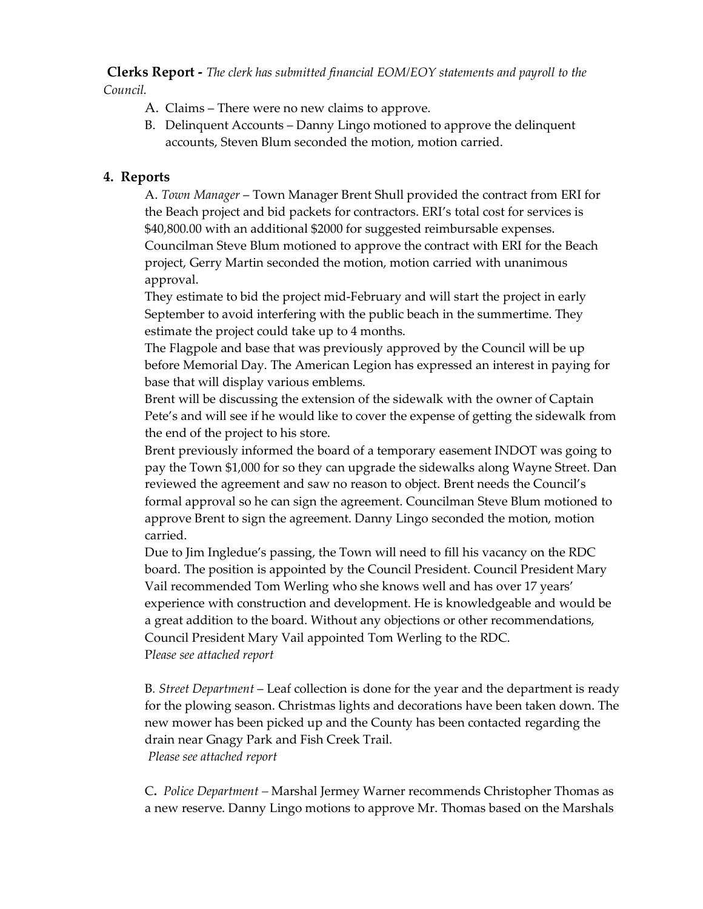**Clerks Report -** *The clerk has submitted financial EOM/EOY statements and payroll to the Council.* 

- A. Claims There were no new claims to approve.
- B. Delinquent Accounts Danny Lingo motioned to approve the delinquent accounts, Steven Blum seconded the motion, motion carried.

# **4. Reports**

A. *Town Manager* – Town Manager Brent Shull provided the contract from ERI for the Beach project and bid packets for contractors. ERI's total cost for services is \$40,800.00 with an additional \$2000 for suggested reimbursable expenses. Councilman Steve Blum motioned to approve the contract with ERI for the Beach project, Gerry Martin seconded the motion, motion carried with unanimous approval.

They estimate to bid the project mid-February and will start the project in early September to avoid interfering with the public beach in the summertime. They estimate the project could take up to 4 months.

The Flagpole and base that was previously approved by the Council will be up before Memorial Day. The American Legion has expressed an interest in paying for base that will display various emblems.

Brent will be discussing the extension of the sidewalk with the owner of Captain Pete's and will see if he would like to cover the expense of getting the sidewalk from the end of the project to his store.

Brent previously informed the board of a temporary easement INDOT was going to pay the Town \$1,000 for so they can upgrade the sidewalks along Wayne Street. Dan reviewed the agreement and saw no reason to object. Brent needs the Council's formal approval so he can sign the agreement. Councilman Steve Blum motioned to approve Brent to sign the agreement. Danny Lingo seconded the motion, motion carried.

Due to Jim Ingledue's passing, the Town will need to fill his vacancy on the RDC board. The position is appointed by the Council President. Council President Mary Vail recommended Tom Werling who she knows well and has over 17 years' experience with construction and development. He is knowledgeable and would be a great addition to the board. Without any objections or other recommendations, Council President Mary Vail appointed Tom Werling to the RDC. P*lease see attached report*

B*. Street Department* – Leaf collection is done for the year and the department is ready for the plowing season. Christmas lights and decorations have been taken down. The new mower has been picked up and the County has been contacted regarding the drain near Gnagy Park and Fish Creek Trail. *Please see attached report*

C**.** *Police Department –* Marshal Jermey Warner recommends Christopher Thomas as a new reserve. Danny Lingo motions to approve Mr. Thomas based on the Marshals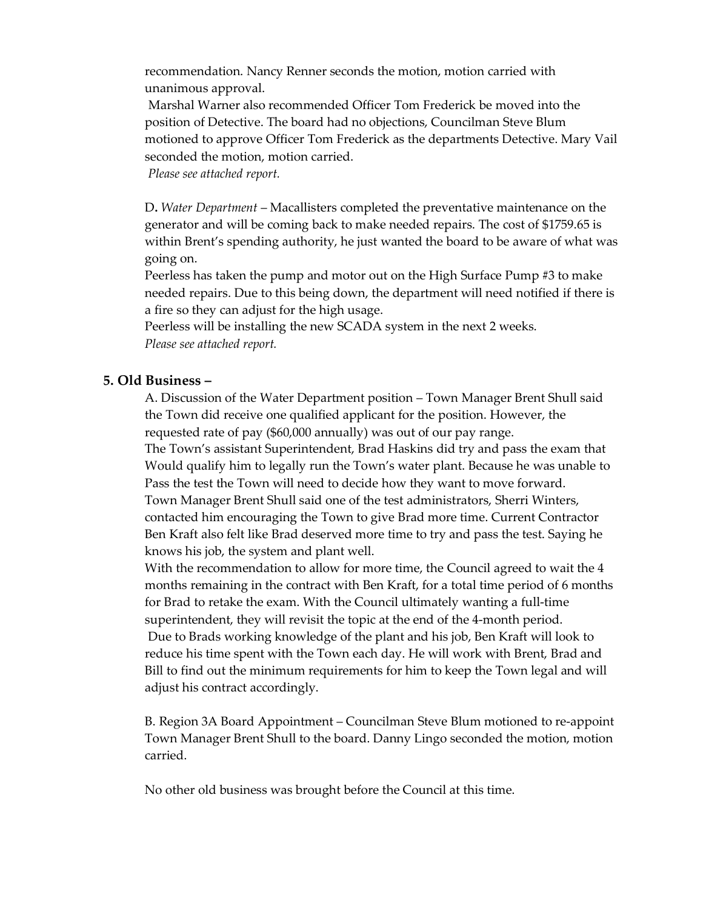recommendation. Nancy Renner seconds the motion, motion carried with unanimous approval.

Marshal Warner also recommended Officer Tom Frederick be moved into the position of Detective. The board had no objections, Councilman Steve Blum motioned to approve Officer Tom Frederick as the departments Detective. Mary Vail seconded the motion, motion carried.

*Please see attached report.*

D**.** *Water Department* – Macallisters completed the preventative maintenance on the generator and will be coming back to make needed repairs. The cost of \$1759.65 is within Brent's spending authority, he just wanted the board to be aware of what was going on.

Peerless has taken the pump and motor out on the High Surface Pump #3 to make needed repairs. Due to this being down, the department will need notified if there is a fire so they can adjust for the high usage.

Peerless will be installing the new SCADA system in the next 2 weeks. *Please see attached report.* 

## **5. Old Business –**

A. Discussion of the Water Department position – Town Manager Brent Shull said the Town did receive one qualified applicant for the position. However, the requested rate of pay (\$60,000 annually) was out of our pay range. The Town's assistant Superintendent, Brad Haskins did try and pass the exam that Would qualify him to legally run the Town's water plant. Because he was unable to Pass the test the Town will need to decide how they want to move forward. Town Manager Brent Shull said one of the test administrators, Sherri Winters, contacted him encouraging the Town to give Brad more time. Current Contractor Ben Kraft also felt like Brad deserved more time to try and pass the test. Saying he knows his job, the system and plant well.

With the recommendation to allow for more time, the Council agreed to wait the 4 months remaining in the contract with Ben Kraft, for a total time period of 6 months for Brad to retake the exam. With the Council ultimately wanting a full-time superintendent, they will revisit the topic at the end of the 4-month period. Due to Brads working knowledge of the plant and his job, Ben Kraft will look to reduce his time spent with the Town each day. He will work with Brent, Brad and Bill to find out the minimum requirements for him to keep the Town legal and will adjust his contract accordingly.

B. Region 3A Board Appointment – Councilman Steve Blum motioned to re-appoint Town Manager Brent Shull to the board. Danny Lingo seconded the motion, motion carried.

No other old business was brought before the Council at this time.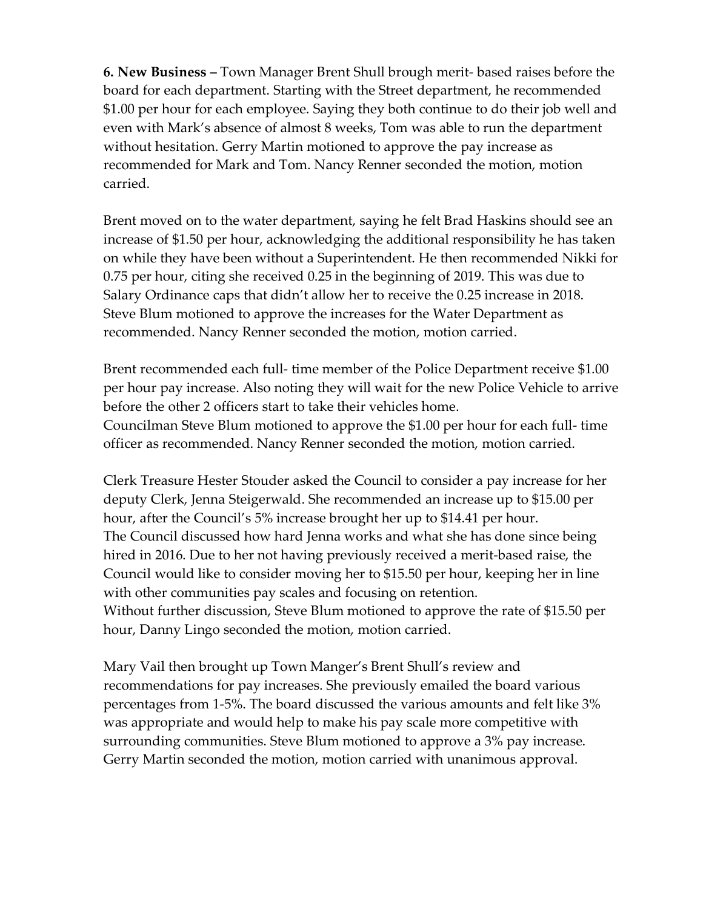**6. New Business –** Town Manager Brent Shull brough merit- based raises before the board for each department. Starting with the Street department, he recommended \$1.00 per hour for each employee. Saying they both continue to do their job well and even with Mark's absence of almost 8 weeks, Tom was able to run the department without hesitation. Gerry Martin motioned to approve the pay increase as recommended for Mark and Tom. Nancy Renner seconded the motion, motion carried.

Brent moved on to the water department, saying he felt Brad Haskins should see an increase of \$1.50 per hour, acknowledging the additional responsibility he has taken on while they have been without a Superintendent. He then recommended Nikki for 0.75 per hour, citing she received 0.25 in the beginning of 2019. This was due to Salary Ordinance caps that didn't allow her to receive the 0.25 increase in 2018. Steve Blum motioned to approve the increases for the Water Department as recommended. Nancy Renner seconded the motion, motion carried.

Brent recommended each full- time member of the Police Department receive \$1.00 per hour pay increase. Also noting they will wait for the new Police Vehicle to arrive before the other 2 officers start to take their vehicles home. Councilman Steve Blum motioned to approve the \$1.00 per hour for each full- time officer as recommended. Nancy Renner seconded the motion, motion carried.

Clerk Treasure Hester Stouder asked the Council to consider a pay increase for her deputy Clerk, Jenna Steigerwald. She recommended an increase up to \$15.00 per hour, after the Council's 5% increase brought her up to \$14.41 per hour. The Council discussed how hard Jenna works and what she has done since being hired in 2016. Due to her not having previously received a merit-based raise, the Council would like to consider moving her to \$15.50 per hour, keeping her in line with other communities pay scales and focusing on retention. Without further discussion, Steve Blum motioned to approve the rate of \$15.50 per hour, Danny Lingo seconded the motion, motion carried.

Mary Vail then brought up Town Manger's Brent Shull's review and recommendations for pay increases. She previously emailed the board various percentages from 1-5%. The board discussed the various amounts and felt like 3% was appropriate and would help to make his pay scale more competitive with surrounding communities. Steve Blum motioned to approve a 3% pay increase. Gerry Martin seconded the motion, motion carried with unanimous approval.